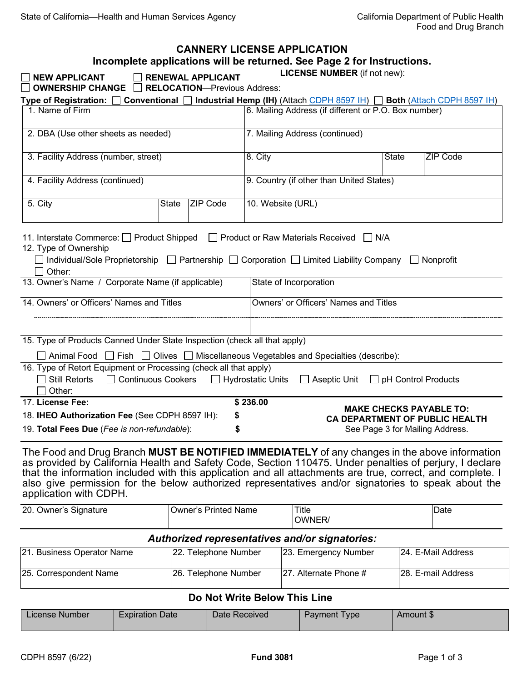|                                                                                                                                                                                                                                                                                                                                                                                                                                                         |                             | <b>CANNERY LICENSE APPLICATION</b>                              |                                                      |                                | Incomplete applications will be returned. See Page 2 for Instructions.<br><b>LICENSE NUMBER</b> (if not new): |                    |                 |
|---------------------------------------------------------------------------------------------------------------------------------------------------------------------------------------------------------------------------------------------------------------------------------------------------------------------------------------------------------------------------------------------------------------------------------------------------------|-----------------------------|-----------------------------------------------------------------|------------------------------------------------------|--------------------------------|---------------------------------------------------------------------------------------------------------------|--------------------|-----------------|
| <b>NEW APPLICANT</b><br>OWNERSHIP CHANGE                                                                                                                                                                                                                                                                                                                                                                                                                |                             | <b>RENEWAL APPLICANT</b><br><b>RELOCATION-Previous Address:</b> |                                                      |                                |                                                                                                               |                    |                 |
| Type of Registration: [                                                                                                                                                                                                                                                                                                                                                                                                                                 |                             |                                                                 |                                                      |                                | Conventional □ Industrial Hemp (IH) (Attach CDPH 8597 IH) □ Both (Attach CDPH 8597 IH)                        |                    |                 |
| 1. Name of Firm                                                                                                                                                                                                                                                                                                                                                                                                                                         |                             |                                                                 | 6. Mailing Address (if different or P.O. Box number) |                                |                                                                                                               |                    |                 |
| 2. DBA (Use other sheets as needed)                                                                                                                                                                                                                                                                                                                                                                                                                     |                             |                                                                 |                                                      | 7. Mailing Address (continued) |                                                                                                               |                    |                 |
| 3. Facility Address (number, street)<br>8. City                                                                                                                                                                                                                                                                                                                                                                                                         |                             |                                                                 |                                                      |                                | <b>State</b>                                                                                                  |                    | <b>ZIP Code</b> |
| 4. Facility Address (continued)                                                                                                                                                                                                                                                                                                                                                                                                                         |                             |                                                                 | 9. Country (if other than United States)             |                                |                                                                                                               |                    |                 |
| 5. City                                                                                                                                                                                                                                                                                                                                                                                                                                                 | <b>State</b>                | <b>ZIP Code</b>                                                 | 10. Website (URL)                                    |                                |                                                                                                               |                    |                 |
| 11. Interstate Commerce: □ Product Shipped<br><b>Product or Raw Materials Received</b><br>N/A<br>12. Type of Ownership<br>$\Box$ Individual/Sole Proprietorship $\Box$ Partnership $\Box$ Corporation $\Box$ Limited Liability Company<br>$\Box$ Nonprofit<br>Other:                                                                                                                                                                                    |                             |                                                                 |                                                      |                                |                                                                                                               |                    |                 |
| 13. Owner's Name / Corporate Name (if applicable)                                                                                                                                                                                                                                                                                                                                                                                                       |                             |                                                                 | State of Incorporation                               |                                |                                                                                                               |                    |                 |
| 14. Owners' or Officers' Names and Titles                                                                                                                                                                                                                                                                                                                                                                                                               |                             |                                                                 | Owners' or Officers' Names and Titles                |                                |                                                                                                               |                    |                 |
| 15. Type of Products Canned Under State Inspection (check all that apply)<br>$\Box$ Animal Food $\Box$ Fish $\Box$ Olives $\Box$ Miscellaneous Vegetables and Specialties (describe):                                                                                                                                                                                                                                                                   |                             |                                                                 |                                                      |                                |                                                                                                               |                    |                 |
| 16. Type of Retort Equipment or Processing (check all that apply)<br>□ Continuous Cookers □ Hydrostatic Units<br><b>Still Retorts</b><br>$\Box$ Aseptic Unit $\Box$ pH Control Products<br>Other:                                                                                                                                                                                                                                                       |                             |                                                                 |                                                      |                                |                                                                                                               |                    |                 |
| 17. License Fee:                                                                                                                                                                                                                                                                                                                                                                                                                                        |                             |                                                                 | \$236.00                                             |                                |                                                                                                               |                    |                 |
| 18. IHEO Authorization Fee (See CDPH 8597 IH):                                                                                                                                                                                                                                                                                                                                                                                                          |                             |                                                                 |                                                      |                                | <b>MAKE CHECKS PAYABLE TO:</b><br><b>CA DEPARTMENT OF PUBLIC HEALTH</b>                                       |                    |                 |
| 19. Total Fees Due (Fee is non-refundable):                                                                                                                                                                                                                                                                                                                                                                                                             |                             |                                                                 |                                                      |                                | See Page 3 for Mailing Address.                                                                               |                    |                 |
| The Food and Drug Branch MUST BE NOTIFIED IMMEDIATELY of any changes in the above information<br>as provided by California Health and Safety Code, Section 110475. Under penalties of perjury, I declare<br>that the information included with this application and all attachments are true, correct, and complete. I<br>also give permission for the below authorized representatives and/or signatories to speak about the<br>application with CDPH. |                             |                                                                 |                                                      |                                |                                                                                                               |                    |                 |
| 20. Owner's Signature                                                                                                                                                                                                                                                                                                                                                                                                                                   | <b>Owner's Printed Name</b> |                                                                 |                                                      | Title<br>OWNER/                |                                                                                                               |                    | Date            |
| Authorized representatives and/or signatories:                                                                                                                                                                                                                                                                                                                                                                                                          |                             |                                                                 |                                                      |                                |                                                                                                               |                    |                 |
| 21. Business Operator Name                                                                                                                                                                                                                                                                                                                                                                                                                              |                             | 22. Telephone Number                                            |                                                      | 23. Emergency Number           |                                                                                                               | 24. E-Mail Address |                 |
| 25. Correspondent Name                                                                                                                                                                                                                                                                                                                                                                                                                                  | 26. Telephone Number        |                                                                 |                                                      | 27. Alternate Phone #          |                                                                                                               | 28. E-mail Address |                 |

## **Do Not Write Below This Line**

| License Number | <b>Expiration Date</b> | Date Received | Payment Type | Amount \$ |
|----------------|------------------------|---------------|--------------|-----------|
|                |                        |               |              |           |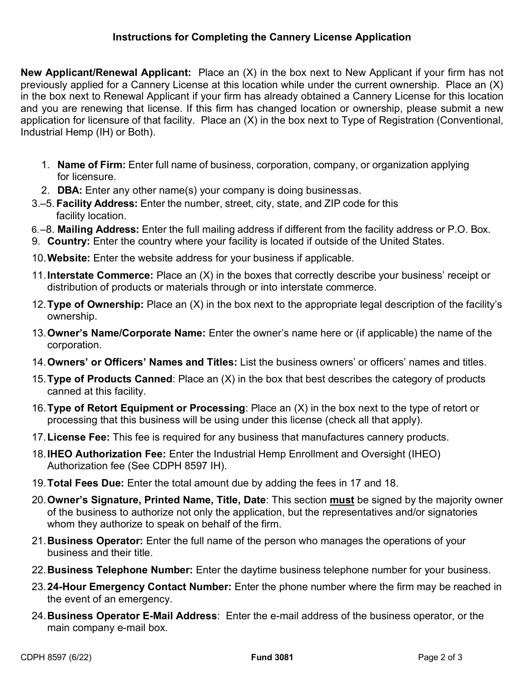**New Applicant/Renewal Applicant:** Place an (X) in the box next to New Applicant if your firm has not previously applied for a Cannery License at this location while under the current ownership. Place an (X) in the box next to Renewal Applicant if your firm has already obtained a Cannery License for this location and you are renewing that license. If this firm has changed location or ownership, please submit a new application for licensure of that facility. Place an (X) in the box next to Type of Registration (Conventional, Industrial Hemp (IH) or Both).

- 1. **Name of Firm:** Enter full name of business, corporation, company, or organization applying for licensure.
- 2. **DBA:** Enter any other name(s) your company is doing business as.
- 3.–5. **Facility Address:** Enter the number, street, city, state, and ZIP code for this facility location.
- 6.–8. **Mailing Address:** Enter the full mailing address if different from the facility address or P.O. Box.
- 9. **Country:** Enter the country where your facility is located if outside of the United States.
- 10.**Website:** Enter the website address for your business if applicable.
- 11.**Interstate Commerce:** Place an (X) in the boxes that correctly describe your business' receipt or distribution of products or materials through or into interstate commerce.
- 12.**Type of Ownership:** Place an (X) in the box next to the appropriate legal description of the facility's ownership.
- 13.**Owner's Name/Corporate Name:** Enter the owner's name here or (if applicable) the name of the corporation.
- 14.**Owners' or Officers' Names and Titles:** List the business owners' or officers' names and titles.
- 15.**Type of Products Canned**: Place an (X) in the box that best describes the category of products canned at this facility.
- 16.**Type of Retort Equipment or Processing**: Place an (X) in the box next to the type of retort or processing that this business will be using under this license (check all that apply).
- 17.**License Fee:** This fee is required for any business that manufactures cannery products.
- 18.**IHEO Authorization Fee:** Enter the Industrial Hemp Enrollment and Oversight (IHEO) Authorization fee (See CDPH 8597 IH).
- 19.**Total Fees Due:** Enter the total amount due by adding the fees in 17 and 18.
- 20.**Owner's Signature, Printed Name, Title, Date**: This section **must** be signed by the majority owner of the business to authorize not only the application, but the representatives and/or signatories whom they authorize to speak on behalf of the firm.
- 21.**Business Operator:** Enter the full name of the person who manages the operations of your business and their title.
- 22.**Business Telephone Number:** Enter the daytime business telephone number for your business.
- 23.**24-Hour Emergency Contact Number:** Enter the phone number where the firm may be reached in the event of an emergency.
- 24.**Business Operator E-Mail Address**: Enter the e-mail address of the business operator, or the main company e-mail box.